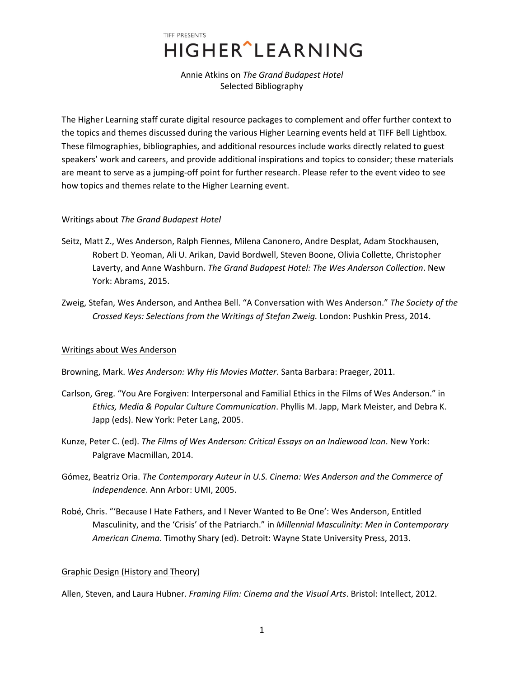# TIFF PRESENTS **HIGHER**<sup>^</sup>LEARNING

Annie Atkins on *The Grand Budapest Hotel*  Selected Bibliography

The Higher Learning staff curate digital resource packages to complement and offer further context to the topics and themes discussed during the various Higher Learning events held at TIFF Bell Lightbox. These filmographies, bibliographies, and additional resources include works directly related to guest speakers' work and careers, and provide additional inspirations and topics to consider; these materials are meant to serve as a jumping-off point for further research. Please refer to the event video to see how topics and themes relate to the Higher Learning event.

## Writings about *The Grand Budapest Hotel*

- Seitz, Matt Z., Wes Anderson, Ralph Fiennes, Milena Canonero, Andre Desplat, Adam Stockhausen, Robert D. Yeoman, Ali U. Arikan, David Bordwell, Steven Boone, Olivia Collette, Christopher Laverty, and Anne Washburn. *The Grand Budapest Hotel: The Wes Anderson Collection*. New York: Abrams, 2015.
- Zweig, Stefan, Wes Anderson, and Anthea Bell. "A Conversation with Wes Anderson." *The Society of the Crossed Keys: Selections from the Writings of Stefan Zweig.* London: Pushkin Press, 2014.

## Writings about Wes Anderson

Browning, Mark. *Wes Anderson: Why His Movies Matter*. Santa Barbara: Praeger, 2011.

- Carlson, Greg. "You Are Forgiven: Interpersonal and Familial Ethics in the Films of Wes Anderson." in *Ethics, Media & Popular Culture Communication*. Phyllis M. Japp, Mark Meister, and Debra K. Japp (eds). New York: Peter Lang, 2005.
- Kunze, Peter C. (ed). *The Films of Wes Anderson: Critical Essays on an Indiewood Icon*. New York: Palgrave Macmillan, 2014.
- Gómez, Beatriz Oria. *The Contemporary Auteur in U.S. Cinema: Wes Anderson and the Commerce of Independence*. Ann Arbor: UMI, 2005.
- Robé, Chris. "'Because I Hate Fathers, and I Never Wanted to Be One': Wes Anderson, Entitled Masculinity, and the 'Crisis' of the Patriarch." in *Millennial Masculinity: Men in Contemporary American Cinema*. Timothy Shary (ed). Detroit: Wayne State University Press, 2013.

## Graphic Design (History and Theory)

Allen, Steven, and Laura Hubner. *Framing Film: Cinema and the Visual Arts*. Bristol: Intellect, 2012.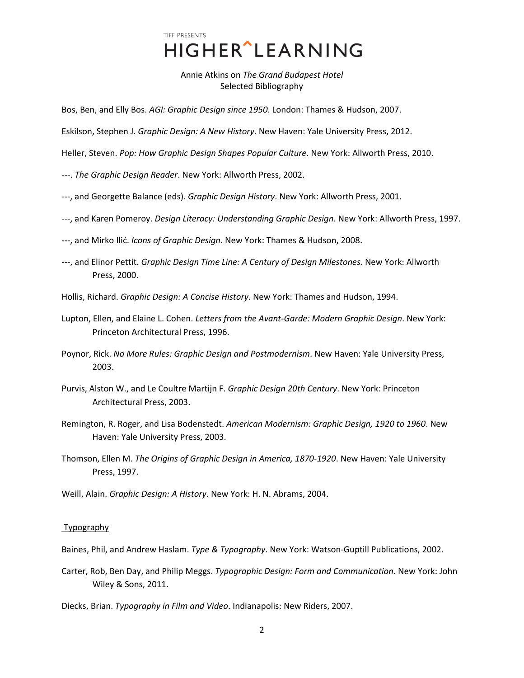TIFF PRESENTS **HIGHER** LEARNING

Annie Atkins on *The Grand Budapest Hotel*  Selected Bibliography

Bos, Ben, and Elly Bos. *AGI: Graphic Design since 1950*. London: Thames & Hudson, 2007.

Eskilson, Stephen J. *Graphic Design: A New History*. New Haven: Yale University Press, 2012.

Heller, Steven. *Pop: How Graphic Design Shapes Popular Culture*. New York: Allworth Press, 2010.

---. *The Graphic Design Reader*. New York: Allworth Press, 2002.

- ---, and Georgette Balance (eds). *Graphic Design History*. New York: Allworth Press, 2001.
- ---, and Karen Pomeroy. *Design Literacy: Understanding Graphic Design*. New York: Allworth Press, 1997.
- ---, and Mirko Ilić. *Icons of Graphic Design*. New York: Thames & Hudson, 2008.
- ---, and Elinor Pettit. *Graphic Design Time Line: A Century of Design Milestones*. New York: Allworth Press, 2000.

Hollis, Richard. *Graphic Design: A Concise History*. New York: Thames and Hudson, 1994.

Lupton, Ellen, and Elaine L. Cohen. *Letters from the Avant-Garde: Modern Graphic Design*. New York: Princeton Architectural Press, 1996.

Poynor, Rick. *No More Rules: Graphic Design and Postmodernism*. New Haven: Yale University Press, 2003.

Purvis, Alston W., and Le Coultre Martijn F. *Graphic Design 20th Century*. New York: Princeton Architectural Press, 2003.

- Remington, R. Roger, and Lisa Bodenstedt. *American Modernism: Graphic Design, 1920 to 1960*. New Haven: Yale University Press, 2003.
- Thomson, Ellen M. *The Origins of Graphic Design in America, 1870-1920*. New Haven: Yale University Press, 1997.

Weill, Alain. *Graphic Design: A History*. New York: H. N. Abrams, 2004.

#### Typography

Baines, Phil, and Andrew Haslam. *Type & Typography*. New York: Watson-Guptill Publications, 2002.

- Carter, Rob, Ben Day, and Philip Meggs. *Typographic Design: Form and Communication.* New York: John Wiley & Sons, 2011.
- Diecks, Brian. *Typography in Film and Video*. Indianapolis: New Riders, 2007.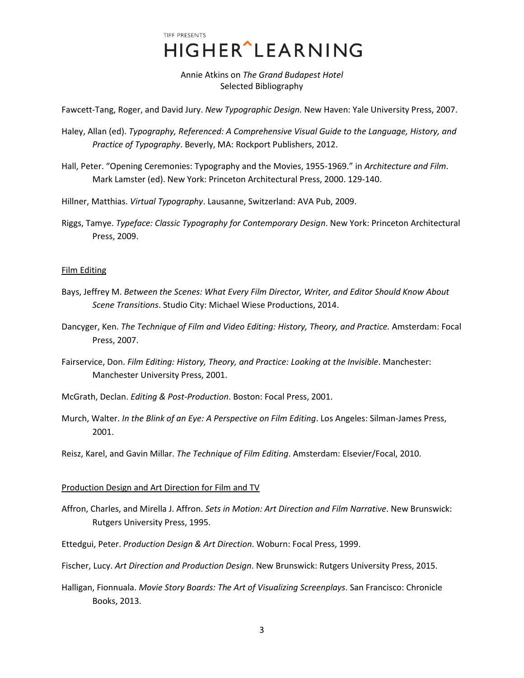TIFF PRESENTS HIGHER^LEARNING

Annie Atkins on *The Grand Budapest Hotel*  Selected Bibliography

Fawcett-Tang, Roger, and David Jury. *New Typographic Design.* New Haven: Yale University Press, 2007.

- Haley, Allan (ed). *Typography, Referenced: A Comprehensive Visual Guide to the Language, History, and Practice of Typography*. Beverly, MA: Rockport Publishers, 2012.
- Hall, Peter. "Opening Ceremonies: Typography and the Movies, 1955-1969." in *Architecture and Film*. Mark Lamster (ed). New York: Princeton Architectural Press, 2000. 129-140.
- Hillner, Matthias. *Virtual Typography*. Lausanne, Switzerland: AVA Pub, 2009.
- Riggs, Tamye. *Typeface: Classic Typography for Contemporary Design*. New York: Princeton Architectural Press, 2009.

### Film Editing

- Bays, Jeffrey M. *Between the Scenes: What Every Film Director, Writer, and Editor Should Know About Scene Transitions*. Studio City: Michael Wiese Productions, 2014.
- Dancyger, Ken. *The Technique of Film and Video Editing: History, Theory, and Practice.* Amsterdam: Focal Press, 2007.
- Fairservice, Don. *Film Editing: History, Theory, and Practice: Looking at the Invisible*. Manchester: Manchester University Press, 2001.
- McGrath, Declan. *Editing & Post-Production*. Boston: Focal Press, 2001.
- Murch, Walter. *In the Blink of an Eye: A Perspective on Film Editing*. Los Angeles: Silman-James Press, 2001.
- Reisz, Karel, and Gavin Millar. *The Technique of Film Editing*. Amsterdam: Elsevier/Focal, 2010.

#### Production Design and Art Direction for Film and TV

- Affron, Charles, and Mirella J. Affron. *Sets in Motion: Art Direction and Film Narrative*. New Brunswick: Rutgers University Press, 1995.
- Ettedgui, Peter. *Production Design & Art Direction*. Woburn: Focal Press, 1999.
- Fischer, Lucy. *Art Direction and Production Design*. New Brunswick: Rutgers University Press, 2015.
- Halligan, Fionnuala. *Movie Story Boards: The Art of Visualizing Screenplays*. San Francisco: Chronicle Books, 2013.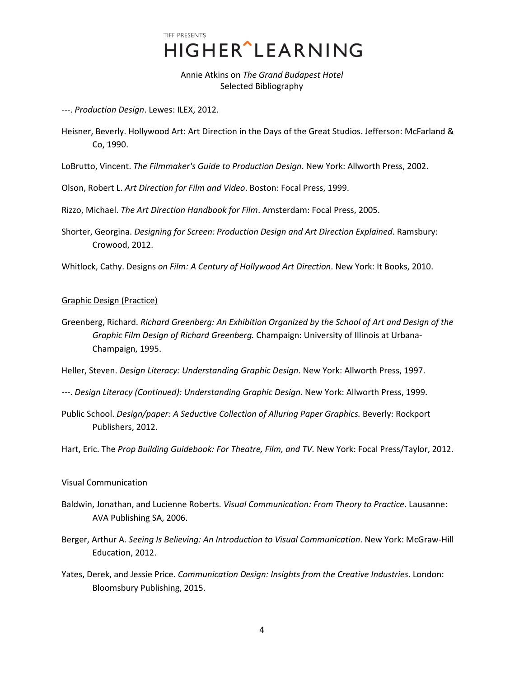TIFF PRESENTS **HIGHER**<sup>^</sup>LEARNING

Annie Atkins on *The Grand Budapest Hotel*  Selected Bibliography

---. *Production Design*. Lewes: ILEX, 2012.

Heisner, Beverly. Hollywood Art: Art Direction in the Days of the Great Studios. Jefferson: McFarland & Co, 1990.

LoBrutto, Vincent. *The Filmmaker's Guide to Production Design*. New York: Allworth Press, 2002.

Olson, Robert L. *Art Direction for Film and Video*. Boston: Focal Press, 1999.

Rizzo, Michael. *The Art Direction Handbook for Film*. Amsterdam: Focal Press, 2005.

Shorter, Georgina. *Designing for Screen: Production Design and Art Direction Explained*. Ramsbury: Crowood, 2012.

Whitlock, Cathy. Designs *on Film: A Century of Hollywood Art Direction*. New York: It Books, 2010.

## Graphic Design (Practice)

Greenberg, Richard. *Richard Greenberg: An Exhibition Organized by the School of Art and Design of the Graphic Film Design of Richard Greenberg.* Champaign: University of Illinois at Urbana-Champaign, 1995.

Heller, Steven. *Design Literacy: Understanding Graphic Design*. New York: Allworth Press, 1997.

- ---. *Design Literacy (Continued): Understanding Graphic Design.* New York: Allworth Press, 1999.
- Public School. *Design/paper: A Seductive Collection of Alluring Paper Graphics.* Beverly: Rockport Publishers, 2012.

Hart, Eric. The *Prop Building Guidebook: For Theatre, Film, and TV.* New York: Focal Press/Taylor, 2012.

## Visual Communication

- Baldwin, Jonathan, and Lucienne Roberts. *Visual Communication: From Theory to Practice*. Lausanne: AVA Publishing SA, 2006.
- Berger, Arthur A. *Seeing Is Believing: An Introduction to Visual Communication*. New York: McGraw-Hill Education, 2012.
- Yates, Derek, and Jessie Price. *Communication Design: Insights from the Creative Industries*. London: Bloomsbury Publishing, 2015.